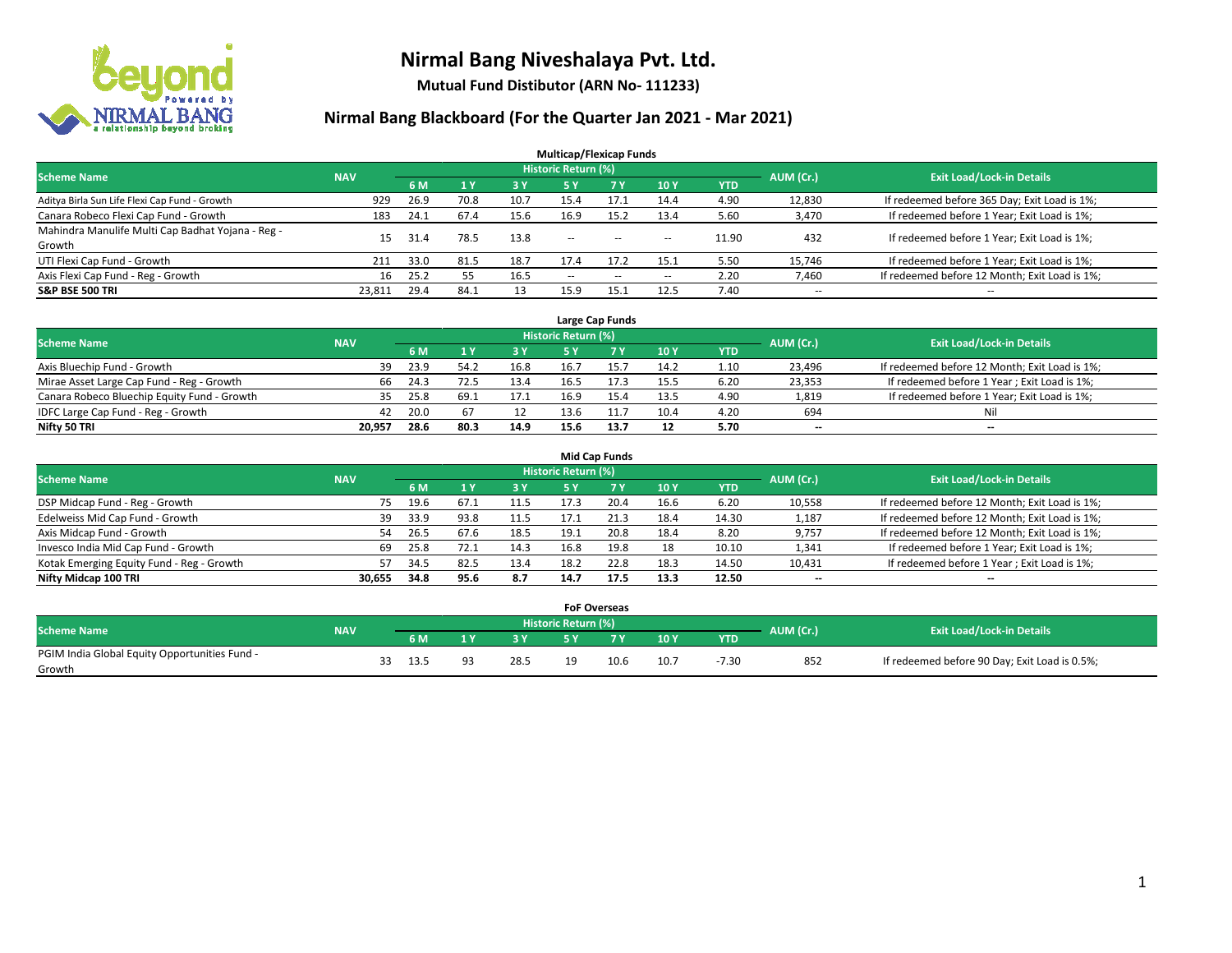

**Mutual Fund Distibutor (ARN No- 111233)**

| <b>Multicap/Flexicap Funds</b>                    |            |      |                |       |                            |                                                |                          |            |                          |                                               |  |  |  |
|---------------------------------------------------|------------|------|----------------|-------|----------------------------|------------------------------------------------|--------------------------|------------|--------------------------|-----------------------------------------------|--|--|--|
| <b>Scheme Name</b>                                | <b>NAV</b> |      |                |       | <b>Historic Return (%)</b> |                                                |                          |            | AUM (Cr.)                | <b>Exit Load/Lock-in Details</b>              |  |  |  |
|                                                   |            | 6 M  | 1 <sub>Y</sub> | $-3V$ | 5 Y                        | <b>7 Y</b>                                     | <b>10Y</b>               | <b>YTD</b> |                          |                                               |  |  |  |
| Aditya Birla Sun Life Flexi Cap Fund - Growth     | 929        | 26.9 | 70.8           | 10.7  | 15.4                       | 17.1                                           | 14.4                     | 4.90       | 12,830                   | If redeemed before 365 Day; Exit Load is 1%;  |  |  |  |
| Canara Robeco Flexi Cap Fund - Growth             | 183        | 24.1 | 67.4           | 15.6  | 16.9                       | 15.2                                           | 13.4                     | 5.60       | 3,470                    | If redeemed before 1 Year; Exit Load is 1%;   |  |  |  |
| Mahindra Manulife Multi Cap Badhat Yojana - Reg - | 15         | 31.4 | 78.5           | 13.8  | $\sim$ $\sim$              | $\hspace{0.1mm}-\hspace{0.1mm}-\hspace{0.1mm}$ |                          | 11.90      | 432                      | If redeemed before 1 Year; Exit Load is 1%;   |  |  |  |
| Growth                                            |            |      |                |       |                            |                                                | $\overline{\phantom{a}}$ |            |                          |                                               |  |  |  |
| UTI Flexi Cap Fund - Growth                       | 211        | 33.0 | 81.5           | 18.7  | 17.4                       | 17.2                                           | 15.1                     | 5.50       | 15,746                   | If redeemed before 1 Year; Exit Load is 1%;   |  |  |  |
| Axis Flexi Cap Fund - Reg - Growth                | 16         | 25.2 | 55             | 16.5  | $\overline{\phantom{a}}$   | $-$                                            | --                       | 2.20       | 7,460                    | If redeemed before 12 Month; Exit Load is 1%; |  |  |  |
| <b>S&amp;P BSE 500 TRI</b>                        | 23.811     | 29.4 | 84.1           | 13    | 15.9                       | 15.                                            | 12.5                     | 7.40       | $\overline{\phantom{a}}$ | $- -$                                         |  |  |  |

|                                             |            |      |      |      |                     | Large Cap Funds |      |            |           |                                               |
|---------------------------------------------|------------|------|------|------|---------------------|-----------------|------|------------|-----------|-----------------------------------------------|
| <b>Scheme Name</b>                          | <b>NAV</b> |      |      |      | Historic Return (%) |                 |      |            | AUM (Cr.) | <b>Exit Load/Lock-in Details</b>              |
|                                             |            | 6 M  |      | 3 Y  |                     |                 | 10Y  | <b>YTD</b> |           |                                               |
| Axis Bluechip Fund - Growth                 | 39         | 23.9 | 54.2 | 16.8 | 16.7                | 15.7            | 14.2 | 1.10       | 23,496    | If redeemed before 12 Month; Exit Load is 1%; |
| Mirae Asset Large Cap Fund - Reg - Growth   | 66         | 24.3 | 72.5 | 13.4 |                     |                 | 15.5 | 6.20       | 23,353    | If redeemed before 1 Year; Exit Load is 1%;   |
| Canara Robeco Bluechip Equity Fund - Growth |            | 25.8 | 69.3 | 17.1 | 16.9                |                 | 13.5 | 4.90       | 1,819     | If redeemed before 1 Year; Exit Load is 1%;   |
| IDFC Large Cap Fund - Reg - Growth          | 42         | 20.0 | 67   | ᅭ    | 13.6                |                 | 10.4 | 4.20       | 694       | Nil                                           |
| Nifty 50 TRI                                | 20.957     | 28.6 | 80.3 | 14.9 | 15.6                | 13.7            | 12   | 5.70       | $- -$     | $- -$                                         |

| <b>Mid Cap Funds</b>                      |            |            |                                  |           |      |      |      |            |                          |                                               |  |  |  |  |
|-------------------------------------------|------------|------------|----------------------------------|-----------|------|------|------|------------|--------------------------|-----------------------------------------------|--|--|--|--|
| <b>Scheme Name</b>                        | <b>NAV</b> | AUM (Cr.)  | <b>Exit Load/Lock-in Details</b> |           |      |      |      |            |                          |                                               |  |  |  |  |
|                                           |            | 6 M        |                                  | <b>3Y</b> | 5 Y  |      | 10Y  | <b>YTD</b> |                          |                                               |  |  |  |  |
| DSP Midcap Fund - Reg - Growth            |            | 19.6<br>75 | 67.1                             | 11.5      | 17.3 | 20.4 | 16.6 | 6.20       | 10,558                   | If redeemed before 12 Month; Exit Load is 1%; |  |  |  |  |
| Edelweiss Mid Cap Fund - Growth           |            | 33.9<br>39 | 93.8                             | 11.5      |      |      | 18.4 | 14.30      | 1,187                    | If redeemed before 12 Month; Exit Load is 1%; |  |  |  |  |
| Axis Midcap Fund - Growth                 |            | 26.5<br>54 | 67.6                             | 18.5      | 19.1 | 20.8 | 18.4 | 8.20       | 9,757                    | If redeemed before 12 Month; Exit Load is 1%; |  |  |  |  |
| Invesco India Mid Cap Fund - Growth       |            | 69<br>25.8 | 72.1                             | 14.3      | 16.8 | 19.8 | 18   | 10.10      | 1,341                    | If redeemed before 1 Year; Exit Load is 1%;   |  |  |  |  |
| Kotak Emerging Equity Fund - Reg - Growth |            | 57<br>34.5 | 82.5                             | 13.4      | 18.2 | 22.8 | 18.3 | 14.50      | 10,431                   | If redeemed before 1 Year; Exit Load is 1%;   |  |  |  |  |
| Nifty Midcap 100 TRI                      | 30.655     | 34.8       | 95.6                             | 8.7       | 14.7 | 17.5 | 13.3 | 12.50      | $\overline{\phantom{m}}$ | $\overline{\phantom{a}}$                      |  |  |  |  |

|                                                         |            |      |    |      |                     | <b>FoF Overseas</b> |      |            |           |                                               |
|---------------------------------------------------------|------------|------|----|------|---------------------|---------------------|------|------------|-----------|-----------------------------------------------|
| Scheme Name                                             | <b>NAV</b> |      |    |      | Historic Return (%) |                     |      |            | AUM (Cr.) | <b>Exit Load/Lock-in Details</b>              |
|                                                         |            | 6 M  |    | ע כ  |                     | 7 V                 | 10Y  | <b>YTD</b> |           |                                               |
| PGIM India Global Equity Opportunities Fund -<br>Growth |            | 13.5 | Q2 | 28.5 | 10                  | 10.6                | 10.7 | $-7.30$    | 852       | If redeemed before 90 Day; Exit Load is 0.5%; |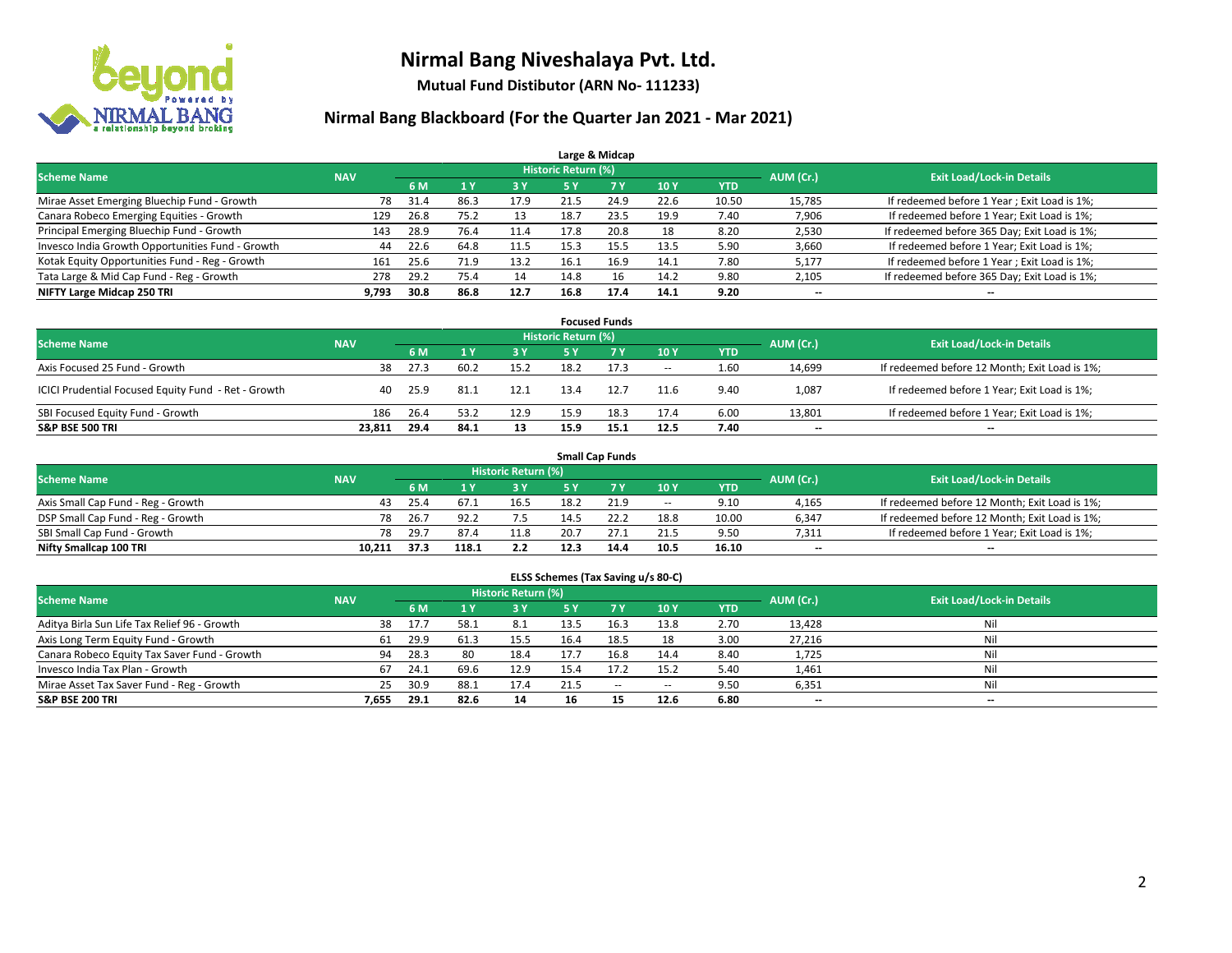

**Mutual Fund Distibutor (ARN No- 111233)**

|                                                  |            |      |              |      |                            | Large & Midcap |      |            |           |                                              |
|--------------------------------------------------|------------|------|--------------|------|----------------------------|----------------|------|------------|-----------|----------------------------------------------|
| <b>Scheme Name</b>                               | <b>NAV</b> |      |              |      | <b>Historic Return (%)</b> |                |      |            | AUM (Cr.) | <b>Exit Load/Lock-in Details</b>             |
|                                                  |            | 6 M  | $\sqrt{1}$ Y | 3 Y  | <b>5 Y</b>                 | 7 <sup>V</sup> | 10Y  | <b>YTD</b> |           |                                              |
| Mirae Asset Emerging Bluechip Fund - Growth      | 78         | 31.4 | 86.3         | 17.9 | 21.5                       | 24.9           | 22.6 | 10.50      | 15,785    | If redeemed before 1 Year; Exit Load is 1%;  |
| Canara Robeco Emerging Equities - Growth         | 129        | 26.8 | 75.2         | 13   | 18.7                       | 23.5           | 19.9 | 7.40       | 7,906     | If redeemed before 1 Year; Exit Load is 1%;  |
| Principal Emerging Bluechip Fund - Growth        | 143        | 28.9 | 76.4         | 11.4 | 17.8                       | 20.8           | 18   | 8.20       | 2,530     | If redeemed before 365 Day; Exit Load is 1%; |
| Invesco India Growth Opportunities Fund - Growth | 44         | 22.6 | 64.8         | 11.5 | 15.3                       | 15.5           | 13.5 | 5.90       | 3,660     | If redeemed before 1 Year; Exit Load is 1%;  |
| Kotak Equity Opportunities Fund - Reg - Growth   | 161        | 25.6 | 71.9         | 13.2 | 16.1                       | 16.9           | 14.1 | 7.80       | 5,177     | If redeemed before 1 Year; Exit Load is 1%;  |
| Tata Large & Mid Cap Fund - Reg - Growth         | 278        | 29.2 | 75.4         | 14   | 14.8                       | 16             | 14.2 | 9.80       | 2,105     | If redeemed before 365 Day; Exit Load is 1%; |
| NIFTY Large Midcap 250 TRI                       | 9,793      | 30.8 | 86.8         | 12.7 | 16.8                       | 17.4           | 14.1 | 9.20       | --        | --                                           |

| <b>Focused Funds</b>                                |            |      |      |      |                     |      |        |            |           |                                               |  |  |  |
|-----------------------------------------------------|------------|------|------|------|---------------------|------|--------|------------|-----------|-----------------------------------------------|--|--|--|
| <b>Scheme Name</b>                                  | <b>NAV</b> |      |      |      | Historic Return (%) |      |        |            | AUM (Cr.) | <b>Exit Load/Lock-in Details</b>              |  |  |  |
|                                                     |            | 6 M  |      | 3 Y  | 5 Y                 |      | 10Y    | <b>YTD</b> |           |                                               |  |  |  |
| Axis Focused 25 Fund - Growth                       | 38         | 27.3 | 60.2 | 15.2 | 18.2                | 17.3 | $\sim$ | 1.60       | 14,699    | If redeemed before 12 Month; Exit Load is 1%; |  |  |  |
| ICICI Prudential Focused Equity Fund - Ret - Growth | 40         | 25.9 | 31.1 | 12.1 | 13.4                | 12.7 | 11.6   | 9.40       | 1,087     | If redeemed before 1 Year; Exit Load is 1%;   |  |  |  |
| SBI Focused Equity Fund - Growth                    | 186        | 26.4 | 53.2 | 12.9 | 15.9                | 18.3 | 17.4   | 6.00       | 13,801    | If redeemed before 1 Year; Exit Load is 1%;   |  |  |  |
| <b>S&amp;P BSE 500 TRI</b>                          | 23.811     | 29.4 | 84.1 | 13   | 15.9                | 15.1 | 12.5   | 7.40       | $- -$     | $\overline{\phantom{a}}$                      |  |  |  |

|                                    |            |           |                                  |       |      | <b>Small Cap Funds</b> |                          |       |       |                                               |
|------------------------------------|------------|-----------|----------------------------------|-------|------|------------------------|--------------------------|-------|-------|-----------------------------------------------|
| <b>Scheme Name</b>                 | <b>NAV</b> | AUM (Cr.) | <b>Exit Load/Lock-in Details</b> |       |      |                        |                          |       |       |                                               |
|                                    |            | 6 M       |                                  | 73 Y. |      |                        | 10Y                      | YTD   |       |                                               |
| Axis Small Cap Fund - Reg - Growth | 43         | 25.4      | ذ.67                             | 16.5  | 18.2 | 21.9                   | $\overline{\phantom{a}}$ | 9.10  | 4,165 | If redeemed before 12 Month; Exit Load is 1%; |
| DSP Small Cap Fund - Reg - Growth  | 78         | 26.7      | 92.2                             | 7.5   | 14.5 |                        | 18.8                     | 10.00 | 6,347 | If redeemed before 12 Month; Exit Load is 1%; |
| SBI Small Cap Fund - Growth        | 78         | 29.7      | 87.4                             | 11.8  | 20.7 | 27.1                   | 21.5                     | 9.50  | 7,311 | If redeemed before 1 Year; Exit Load is 1%;   |
| Nifty Smallcap 100 TRI             | 10.211     | 37.3      | 118.1                            | 2.2   | 12.3 | 14.4                   | 10.5                     | 16.10 | $- -$ | $\overline{\phantom{a}}$                      |

| ELSS Schemes (Tax Saving u/s 80-C)           |            |           |                                  |      |           |        |        |            |        |     |  |  |  |
|----------------------------------------------|------------|-----------|----------------------------------|------|-----------|--------|--------|------------|--------|-----|--|--|--|
| <b>Scheme Name</b>                           | <b>NAV</b> | AUM (Cr.) | <b>Exit Load/Lock-in Details</b> |      |           |        |        |            |        |     |  |  |  |
|                                              |            | 6 M       | 71 Y                             | 3 Y  | <b>5Y</b> | 7V     | 10Y    | <b>YTD</b> |        |     |  |  |  |
| Aditya Birla Sun Life Tax Relief 96 - Growth | 38         | 17.7      | 58.1                             | 8.1  | 13.5      | 16.3   | 13.8   | 2.70       | 13,428 | Nil |  |  |  |
| Axis Long Term Equity Fund - Growth          | 61         | 29.9      | 61.3                             | 15.5 | 16.4      | 18.5   | 18     | 3.00       | 27,216 | Nil |  |  |  |
| Canara Robeco Equity Tax Saver Fund - Growth | 94         | 28.3      | 80                               | 18.4 | 17.7      | 16.8   | 14.4   | 8.40       | 1,725  | Nil |  |  |  |
| Invesco India Tax Plan - Growth              | 67         | 24.1      | 69.6                             | 12.9 | 15.4      | 17.2   | 15.2   | 5.40       | 1,461  | Nil |  |  |  |
| Mirae Asset Tax Saver Fund - Reg - Growth    | 25         | 30.9      | 88.1                             | 17.4 | 21.5      | $\sim$ | $\sim$ | 9.50       | 6,351  | Nil |  |  |  |
| S&P BSE 200 TRI                              | 7,655      | 29.1      | 82.6                             | 14   | 16        | 15     | 12.6   | 6.80       | $- -$  | $-$ |  |  |  |
|                                              |            |           |                                  |      |           |        |        |            |        |     |  |  |  |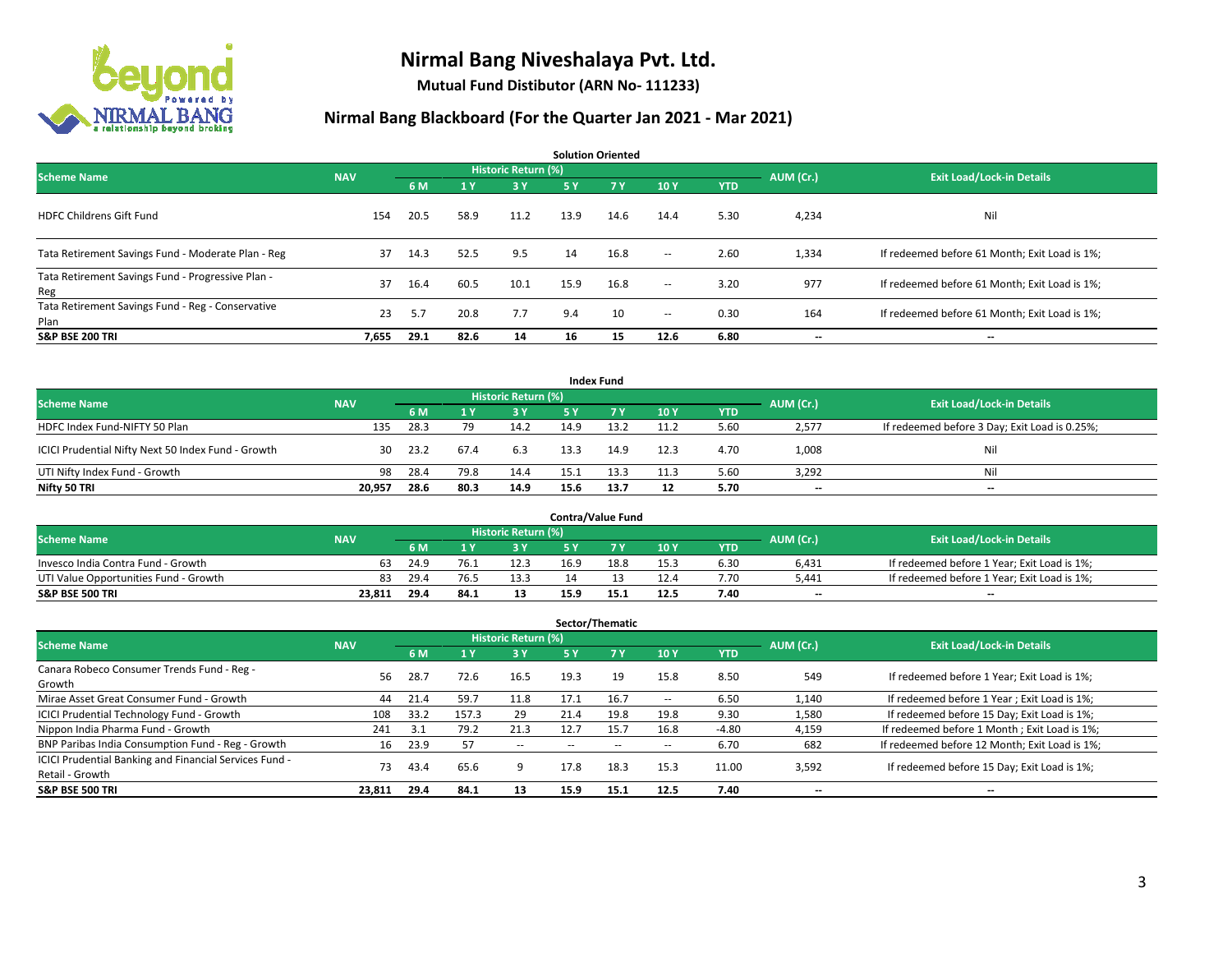

**Mutual Fund Distibutor (ARN No- 111233)**

|                                                           |            |      |      |                            |           | <b>Solution Oriented</b> |        |            |           |                                               |
|-----------------------------------------------------------|------------|------|------|----------------------------|-----------|--------------------------|--------|------------|-----------|-----------------------------------------------|
| <b>Scheme Name</b>                                        | <b>NAV</b> |      |      | <b>Historic Return (%)</b> |           |                          |        |            | AUM (Cr.) | <b>Exit Load/Lock-in Details</b>              |
|                                                           |            | 6 M  | 1Y   | 3 Y                        | <b>5Y</b> | <b>7Y</b>                | 10Y    | <b>YTD</b> |           |                                               |
| <b>HDFC Childrens Gift Fund</b>                           | 154        | 20.5 | 58.9 | 11.2                       | 13.9      | 14.6                     | 14.4   | 5.30       | 4,234     | Nil                                           |
| Tata Retirement Savings Fund - Moderate Plan - Reg        | 37         | 14.3 | 52.5 | 9.5                        | 14        | 16.8                     | $\sim$ | 2.60       | 1,334     | If redeemed before 61 Month; Exit Load is 1%; |
| Tata Retirement Savings Fund - Progressive Plan -<br>Reg  | 37         | 16.4 | 60.5 | 10.1                       | 15.9      | 16.8                     | $\sim$ | 3.20       | 977       | If redeemed before 61 Month; Exit Load is 1%; |
| Tata Retirement Savings Fund - Reg - Conservative<br>Plan | 23         | 5.7  | 20.8 | 7.7                        | 9.4       | 10                       | $\sim$ | 0.30       | 164       | If redeemed before 61 Month; Exit Load is 1%; |
| <b>S&amp;P BSE 200 TRI</b>                                | 7,655      | 29.1 | 82.6 | 14                         | 16        | 15                       | 12.6   | 6.80       | --        | --                                            |

|                                                    |            |      |           |                                  |      | <b>Index Fund</b> |      |            |       |                                               |
|----------------------------------------------------|------------|------|-----------|----------------------------------|------|-------------------|------|------------|-------|-----------------------------------------------|
| <b>Scheme Name</b>                                 | <b>NAV</b> |      | AUM (Cr.) | <b>Exit Load/Lock-in Details</b> |      |                   |      |            |       |                                               |
|                                                    |            | 6 M  |           | 3 Y                              | 5 Y  | <b>7Y</b>         | 10Y  | <b>YTD</b> |       |                                               |
| HDFC Index Fund-NIFTY 50 Plan                      | 135        | 28.3 | 79        | 14.2                             | 14.9 | 13.2              | 11.2 | 5.60       | 2,577 | If redeemed before 3 Day; Exit Load is 0.25%; |
| ICICI Prudential Nifty Next 50 Index Fund - Growth | 30         | 23.2 | 67.4      | 6.3                              | 13.3 | 14.9              | 12.3 | 4.70       | 1,008 | Nil                                           |
| UTI Nifty Index Fund - Growth                      | 98         | 28.4 | 79.8      | 14.4                             | 15.1 | 13.3              | 11.3 | 5.60       | 3,292 | Nil                                           |
| Nifty 50 TRI                                       | 20,957     | 28.6 | 80.3      | 14.9                             | 15.6 | 13.7              | 12   | 5.70       | $- -$ | $\overline{\phantom{a}}$                      |

|                                       |            |      |      |                            |      | <b>Contra/Value Fund</b> |      |      |           |                                             |
|---------------------------------------|------------|------|------|----------------------------|------|--------------------------|------|------|-----------|---------------------------------------------|
| <b>Scheme Name</b>                    | <b>NAV</b> |      |      | <b>Historic Return (%)</b> |      |                          |      |      | AUM (Cr.) | <b>Exit Load/Lock-in Details</b>            |
|                                       |            | 6 M  |      | 8 Y                        |      | 7 V                      | 10Y  | YTD  |           |                                             |
| Invesco India Contra Fund - Growth    | 63         | 24.9 | د.76 | 12.3                       | 16.9 | 18.8                     | 15.3 | 6.30 | 6,431     | If redeemed before 1 Year; Exit Load is 1%; |
| UTI Value Opportunities Fund - Growth | 83         | 29.4 | 76.5 | 13.3                       |      |                          | 12.4 | 7.70 | 5.441     | If redeemed before 1 Year; Exit Load is 1%; |
| <b>S&amp;P BSE 500 TRI</b>            | 23,811     | 29.4 | 84.1 | 13                         | 15.9 |                          | 12.5 | 7.40 | $- -$     | $- -$                                       |

|                                                                           |            |      |       |                     |           | Sector/Thematic |               |            |           |                                               |
|---------------------------------------------------------------------------|------------|------|-------|---------------------|-----------|-----------------|---------------|------------|-----------|-----------------------------------------------|
| <b>Scheme Name</b>                                                        | <b>NAV</b> |      |       | Historic Return (%) |           |                 |               |            | AUM (Cr.) | <b>Exit Load/Lock-in Details</b>              |
|                                                                           |            | 6 M  |       | 3 Y                 | <b>5Y</b> | <b>7Y</b>       | 10Y           | <b>YTD</b> |           |                                               |
| Canara Robeco Consumer Trends Fund - Reg -<br>Growth                      | 56         | 28.7 | 72.6  | 16.5                | 19.3      | 19              | 15.8          | 8.50       | 549       | If redeemed before 1 Year; Exit Load is 1%;   |
| Mirae Asset Great Consumer Fund - Growth                                  | 44         | 21.4 | 59.7  | 11.8                | 17.1      | 16.7            | --            | 6.50       | 1,140     | If redeemed before 1 Year; Exit Load is 1%;   |
| <b>ICICI Prudential Technology Fund - Growth</b>                          | 108        | 33.2 | 157.3 | 29                  | 21.4      | 19.8            | 19.8          | 9.30       | 1,580     | If redeemed before 15 Day; Exit Load is 1%;   |
| Nippon India Pharma Fund - Growth                                         | 241        | 3.1  | 79.2  | 21.3                | 12.7      | 15.7            | 16.8          | $-4.80$    | 4,159     | If redeemed before 1 Month; Exit Load is 1%;  |
| BNP Paribas India Consumption Fund - Reg - Growth                         | 16         | 23.9 | 57    | $- -$               |           |                 | $\sim$ $\sim$ | 6.70       | 682       | If redeemed before 12 Month; Exit Load is 1%; |
| ICICI Prudential Banking and Financial Services Fund -<br>Retail - Growth | 73         | 43.4 | 65.6  |                     | 17.8      | 18.3            | 15.3          | 11.00      | 3,592     | If redeemed before 15 Day; Exit Load is 1%;   |
| <b>S&amp;P BSE 500 TRI</b>                                                | 23,811     | 29.4 | 84.1  | 13                  | 15.9      | 15.1            | 12.5          | 7.40       | --        | --                                            |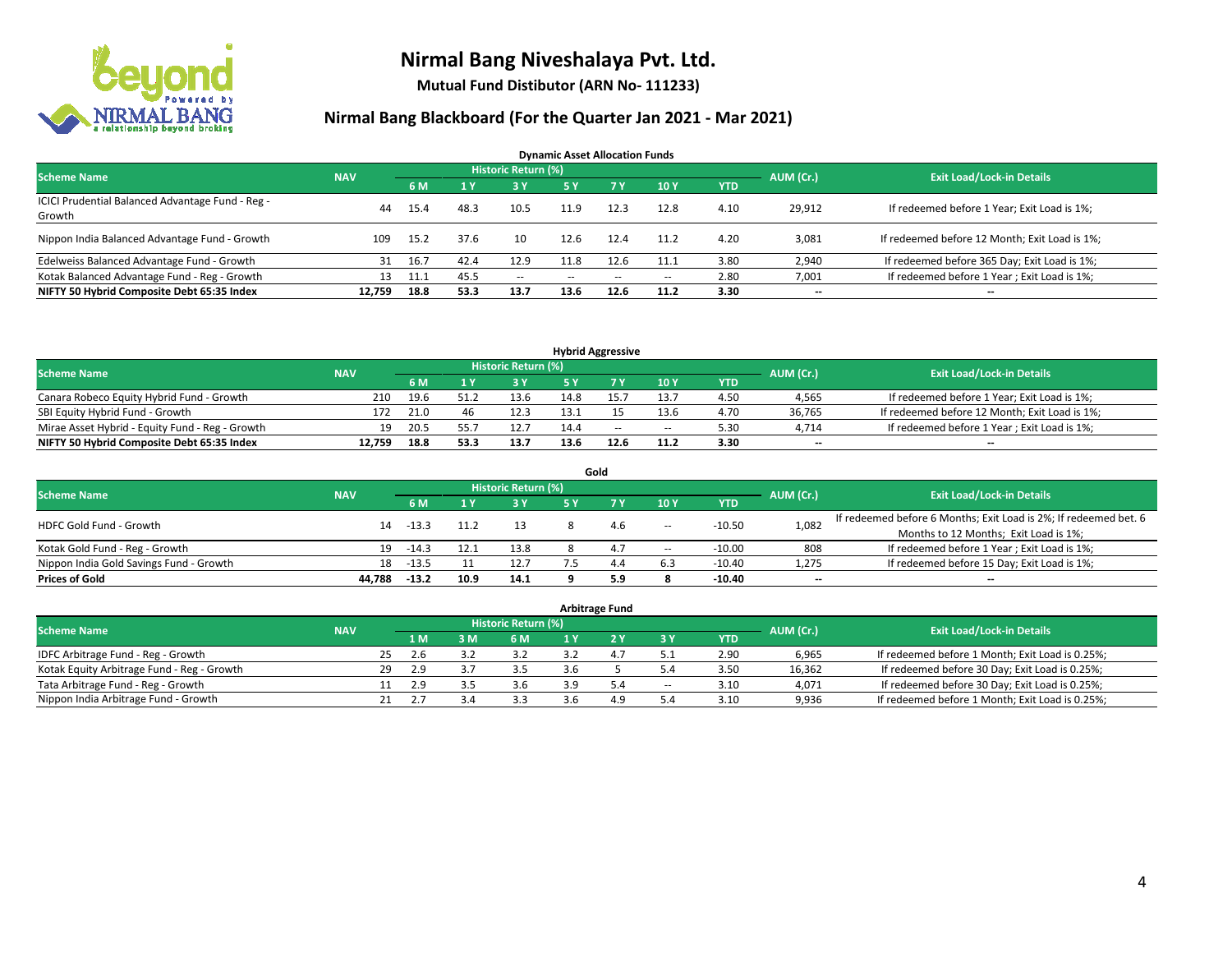

**Mutual Fund Distibutor (ARN No- 111233)**

| <b>Dynamic Asset Allocation Funds</b>                      |            |      |      |                            |      |        |                          |            |           |                                               |  |  |  |
|------------------------------------------------------------|------------|------|------|----------------------------|------|--------|--------------------------|------------|-----------|-----------------------------------------------|--|--|--|
| <b>Scheme Name</b>                                         | <b>NAV</b> |      |      | <b>Historic Return (%)</b> |      |        |                          |            | AUM (Cr.) | <b>Exit Load/Lock-in Details</b>              |  |  |  |
|                                                            |            | 6 M  |      | 3 Y                        | 5 Y  | 7 Y    | 10 Y                     | <b>YTD</b> |           |                                               |  |  |  |
| ICICI Prudential Balanced Advantage Fund - Reg -<br>Growth | 44         | 15.4 | 48.3 | 10.5                       | 11.9 | 12.3   | 12.8                     | 4.10       | 29,912    | If redeemed before 1 Year; Exit Load is 1%;   |  |  |  |
| Nippon India Balanced Advantage Fund - Growth              | 109        | 15.2 | 37.6 | 10                         | 12.6 | 12.4   | 11.2                     | 4.20       | 3,081     | If redeemed before 12 Month; Exit Load is 1%; |  |  |  |
| Edelweiss Balanced Advantage Fund - Growth                 | 31         | 16.7 | 42.4 | 12.9                       | 11.8 | 12.6   | 11.1                     | 3.80       | 2,940     | If redeemed before 365 Day; Exit Load is 1%;  |  |  |  |
| Kotak Balanced Advantage Fund - Reg - Growth               | 13         | 11.1 | 45.5 | $\sim$ $-$                 | --   | $\sim$ | $\overline{\phantom{a}}$ | 2.80       | 7,001     | If redeemed before 1 Year; Exit Load is 1%;   |  |  |  |
| NIFTY 50 Hybrid Composite Debt 65:35 Index                 | 12.759     | 18.8 | 53.3 | 13.7                       | 13.6 | 12.6   | 11.2                     | 3.30       | $- -$     | --                                            |  |  |  |

| <b>Hybrid Aggressive</b>                        |            |      |      |                            |      |      |        |            |           |                                               |  |  |  |
|-------------------------------------------------|------------|------|------|----------------------------|------|------|--------|------------|-----------|-----------------------------------------------|--|--|--|
| <b>Scheme Name</b>                              | <b>NAV</b> |      |      | <b>Historic Return (%)</b> |      |      |        |            | AUM (Cr.) | <b>Exit Load/Lock-in Details</b>              |  |  |  |
|                                                 |            | 6 M  |      | 2 V                        |      |      | 10Y    | <b>YTD</b> |           |                                               |  |  |  |
| Canara Robeco Equity Hybrid Fund - Growth       | 210        | 19.6 | 51.1 | 13.6                       | 14.8 |      | 13.7   | 4.50       | 4,565     | If redeemed before 1 Year; Exit Load is 1%;   |  |  |  |
| SBI Equity Hybrid Fund - Growth                 | 172        | 21.0 | 46   | 12.3                       | 13.1 |      | 13.6   | 4.70       | 36.765    | If redeemed before 12 Month; Exit Load is 1%; |  |  |  |
| Mirae Asset Hybrid - Equity Fund - Reg - Growth | 19         | 20.5 |      | 12.7                       | 14.4 | $-$  | $\sim$ | 5.30       | 4,714     | If redeemed before 1 Year; Exit Load is 1%;   |  |  |  |
| NIFTY 50 Hybrid Composite Debt 65:35 Index      | 12.759     | 18.8 | 53.3 | 13.7                       | 13.6 | 12.6 | 11.2   | 3.30       | $-$       | $-$                                           |  |  |  |

| Gold                                    |            |         |      |                     |     |     |       |            |           |                                                                  |  |  |  |
|-----------------------------------------|------------|---------|------|---------------------|-----|-----|-------|------------|-----------|------------------------------------------------------------------|--|--|--|
| <b>Scheme Name</b>                      | <b>NAV</b> |         |      | Historic Return (%) |     |     |       |            | AUM (Cr.) | <b>Exit Load/Lock-in Details</b>                                 |  |  |  |
|                                         |            | 6 M     |      | 73 Y.               | 5 Y |     | 10Y   | <b>YTD</b> |           |                                                                  |  |  |  |
| HDFC Gold Fund - Growth                 | 14         | $-13.3$ |      |                     |     | 4.6 | $\!-$ | $-10.50$   | 1,082     | If redeemed before 6 Months; Exit Load is 2%; If redeemed bet. 6 |  |  |  |
|                                         |            |         |      |                     |     |     |       |            |           | Months to 12 Months; Exit Load is 1%;                            |  |  |  |
| Kotak Gold Fund - Reg - Growth          | 19         | $-14.3$ |      | 13.8                |     | 4   | $\!-$ | $-10.00$   | 808       | If redeemed before 1 Year; Exit Load is 1%;                      |  |  |  |
| Nippon India Gold Savings Fund - Growth | 18         | $-13.5$ |      | 12.7                |     | 4.4 | 6.3   | $-10.40$   | 1,275     | If redeemed before 15 Day; Exit Load is 1%;                      |  |  |  |
| <b>Prices of Gold</b>                   | 44.788     | $-13.2$ | 10.9 | 14.1                |     | 5.9 |       | $-10.40$   | --        | $- -$                                                            |  |  |  |

| <b>Arbitrage Fund</b>                      |            |    |     |     |                            |  |     |                          |            |           |                                                 |  |  |
|--------------------------------------------|------------|----|-----|-----|----------------------------|--|-----|--------------------------|------------|-----------|-------------------------------------------------|--|--|
| <b>Scheme Name</b>                         | <b>NAV</b> |    |     |     | <b>Historic Return (%)</b> |  |     |                          |            | AUM (Cr.) | <b>Exit Load/Lock-in Details</b>                |  |  |
|                                            |            |    | 4 M | 3 M | 6 M                        |  |     | 3 Y                      | <b>YTD</b> |           |                                                 |  |  |
| IDFC Arbitrage Fund - Reg - Growth         |            | 25 | 2.6 |     | 3.2                        |  | 4.7 |                          | 2.90       | 6,965     | If redeemed before 1 Month; Exit Load is 0.25%; |  |  |
| Kotak Equity Arbitrage Fund - Reg - Growth |            | 29 | 2.9 | 3.  | 3.5                        |  |     | 5.4                      | 3.50       | 16.362    | If redeemed before 30 Day; Exit Load is 0.25%;  |  |  |
| Tata Arbitrage Fund - Reg - Growth         |            |    | 2.9 |     | 3.6                        |  | 5.4 | $\overline{\phantom{a}}$ | 3.10       | 4,071     | If redeemed before 30 Day; Exit Load is 0.25%;  |  |  |
| Nippon India Arbitrage Fund - Growth       |            | 21 |     |     | 3.3                        |  | 4.9 | 5.4                      | 3.10       | 9,936     | If redeemed before 1 Month; Exit Load is 0.25%; |  |  |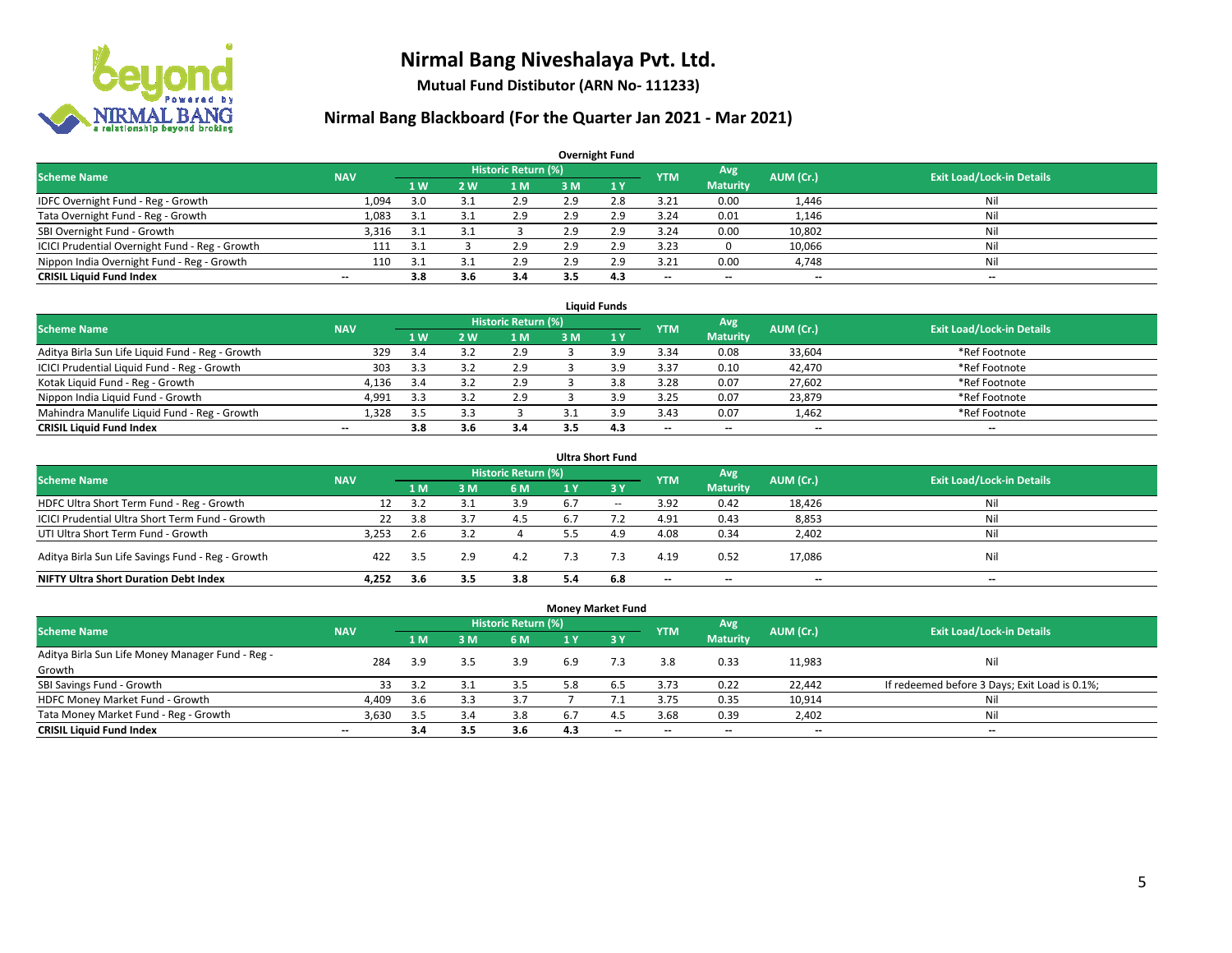

**Mutual Fund Distibutor (ARN No- 111233)**

| <b>Overnight Fund</b>                          |                          |     |     |                            |     |              |            |                          |           |                                  |  |  |  |
|------------------------------------------------|--------------------------|-----|-----|----------------------------|-----|--------------|------------|--------------------------|-----------|----------------------------------|--|--|--|
| <b>Scheme Name</b>                             | <b>NAV</b>               |     |     | <b>Historic Return (%)</b> |     |              | <b>YTM</b> | Avg                      | AUM (Cr.) | <b>Exit Load/Lock-in Details</b> |  |  |  |
|                                                |                          | 1W  | 2 W | l M                        | 3 M | $\sqrt{1}$ Y |            | <b>Maturity</b>          |           |                                  |  |  |  |
| IDFC Overnight Fund - Reg - Growth             | 1,094                    | 3.0 |     | 2.9                        | 2.9 | 2.8          | 3.21       | 0.00                     | 1,446     | Nil                              |  |  |  |
| Tata Overnight Fund - Reg - Growth             | 1,083                    | 3.1 | 3.1 | 2.9                        | 2.9 | 2.9          | 3.24       | 0.01                     | 1,146     | Nil                              |  |  |  |
| SBI Overnight Fund - Growth                    | 3,316                    | 3.1 | 3.1 |                            | 2.9 | 2.9          | 3.24       | 0.00                     | 10,802    | Nil                              |  |  |  |
| ICICI Prudential Overnight Fund - Reg - Growth | 111                      | 3.1 |     | 2.9                        | 2.9 | 2.9          | 3.23       |                          | 10,066    | Nil                              |  |  |  |
| Nippon India Overnight Fund - Reg - Growth     | 110                      | 3.1 |     | 2.9                        | 2.9 | 2.9          | 3.21       | 0.00                     | 4,748     | Nil                              |  |  |  |
| <b>CRISIL Liquid Fund Index</b>                | $\overline{\phantom{a}}$ | 3.8 | 3.6 | 3.4                        |     | 4.3          | --         | $\overline{\phantom{a}}$ | $- -$     | $-$                              |  |  |  |

| <b>Liauid Funds</b>                              |            |      |            |                     |    |     |                          |                          |           |                                  |  |  |  |
|--------------------------------------------------|------------|------|------------|---------------------|----|-----|--------------------------|--------------------------|-----------|----------------------------------|--|--|--|
| Scheme Name                                      | <b>NAV</b> |      |            | Historic Return (%) |    |     | <b>YTM</b>               | Avg                      | AUM (Cr.) | <b>Exit Load/Lock-in Details</b> |  |  |  |
|                                                  |            | 1 W  | <b>2 W</b> | 1 M                 | зM |     |                          | <b>Maturity</b>          |           |                                  |  |  |  |
| Aditya Birla Sun Life Liquid Fund - Reg - Growth | 329        | 3.4  |            | 2.9                 |    | : വ | 3.34                     | 0.08                     | 33,604    | *Ref Footnote                    |  |  |  |
| ICICI Prudential Liquid Fund - Reg - Growth      | 303        | 3.3  |            | 2.9                 |    | : വ | 3.37                     | 0.10                     | 42,470    | *Ref Footnote                    |  |  |  |
| Kotak Liquid Fund - Reg - Growth                 | 4,136      | -3.4 |            | 2.9                 |    |     | 3.28                     | 0.07                     | 27,602    | *Ref Footnote                    |  |  |  |
| Nippon India Liquid Fund - Growth                | 4,991      | 3.3  |            | 2.9                 |    | ιq  | 3.25                     | 0.07                     | 23,879    | *Ref Footnote                    |  |  |  |
| Mahindra Manulife Liquid Fund - Reg - Growth     | 1.328      | 3.5  |            |                     |    | ιq  | 3.43                     | 0.07                     | 1,462     | *Ref Footnote                    |  |  |  |
| <b>CRISIL Liquid Fund Index</b>                  | $- -$      | 3.8  | 3.b        | 3.4                 |    | 4.3 | $\overline{\phantom{a}}$ | $\overline{\phantom{a}}$ | $- -$     | $- -$                            |  |  |  |

| <b>Ultra Short Fund</b>                           |            |      |     |                            |     |        |            |                 |           |                                  |  |  |  |
|---------------------------------------------------|------------|------|-----|----------------------------|-----|--------|------------|-----------------|-----------|----------------------------------|--|--|--|
| <b>Scheme Name</b>                                | <b>NAV</b> |      |     | <b>Historic Return (%)</b> |     |        | <b>YTM</b> | Avg             | AUM (Cr.) | <b>Exit Load/Lock-in Details</b> |  |  |  |
|                                                   |            | 1 M  | 3 M | 6 M                        | 1 Y | - 3 Y  |            | <b>Maturity</b> |           |                                  |  |  |  |
| HDFC Ultra Short Term Fund - Reg - Growth         | 12         | 3.2  |     | 3.9                        | 6.7 | $\sim$ | 3.92       | 0.42            | 18,426    | Nil                              |  |  |  |
| ICICI Prudential Ultra Short Term Fund - Growth   | 22         | 3.8  |     | 4.5                        | 6.7 |        | 4.91       | 0.43            | 8,853     | Nil                              |  |  |  |
| UTI Ultra Short Term Fund - Growth                | 3.253      | 2.6  |     |                            |     | 4.9    | 4.08       | 0.34            | 2,402     | Nil                              |  |  |  |
| Aditya Birla Sun Life Savings Fund - Reg - Growth | 422        | -3.5 | 2.9 | 4.2                        |     |        | 4.19       | 0.52            | 17,086    | Nil                              |  |  |  |
| <b>NIFTY Ultra Short Duration Debt Index</b>      | 4.252      | 3.6  | 3.5 | 3.8                        | 5.4 | 6.8    | $- -$      | $- -$           | $- -$     | $\overline{\phantom{a}}$         |  |  |  |

| <b>Money Market Fund</b>                         |                          |     |     |                            |                |           |            |                 |           |                                               |  |  |  |  |
|--------------------------------------------------|--------------------------|-----|-----|----------------------------|----------------|-----------|------------|-----------------|-----------|-----------------------------------------------|--|--|--|--|
| <b>Scheme Name</b>                               | <b>NAV</b>               |     |     | <b>Historic Return (%)</b> |                |           | <b>YTM</b> | Avg             | AUM (Cr.) | <b>Exit Load/Lock-in Details</b>              |  |  |  |  |
|                                                  |                          | 1 M | 3M  | <b>6M</b>                  | 1 <sub>Y</sub> | $Z$ 3 $V$ |            | <b>Maturity</b> |           |                                               |  |  |  |  |
| Aditya Birla Sun Life Money Manager Fund - Reg - | 284                      | 3.9 | 3.5 | 3.9                        | 6.9            |           | 3.8        | 0.33            | 11,983    | Nil                                           |  |  |  |  |
| Growth                                           |                          |     |     |                            |                |           |            |                 |           |                                               |  |  |  |  |
| SBI Savings Fund - Growth                        | 33                       | 3.2 | 3.1 | 3.5                        | 5.8            | 6.5       | 3.73       | 0.22            | 22,442    | If redeemed before 3 Days; Exit Load is 0.1%; |  |  |  |  |
| HDFC Money Market Fund - Growth                  | 4,409                    | 3.6 | 3.3 | 3.7                        |                |           | 3.75       | 0.35            | 10,914    | Nil                                           |  |  |  |  |
| Tata Money Market Fund - Reg - Growth            | 3,630                    | 3.5 | 3.4 | 3.8                        | 6.             | 4.3       | 3.68       | 0.39            | 2,402     | Nil                                           |  |  |  |  |
| <b>CRISIL Liquid Fund Index</b>                  | $\overline{\phantom{a}}$ | 3.4 | 3.5 | 3.6                        | 4.3            | $- -$     | --         | $- -$           | $- -$     | $-$                                           |  |  |  |  |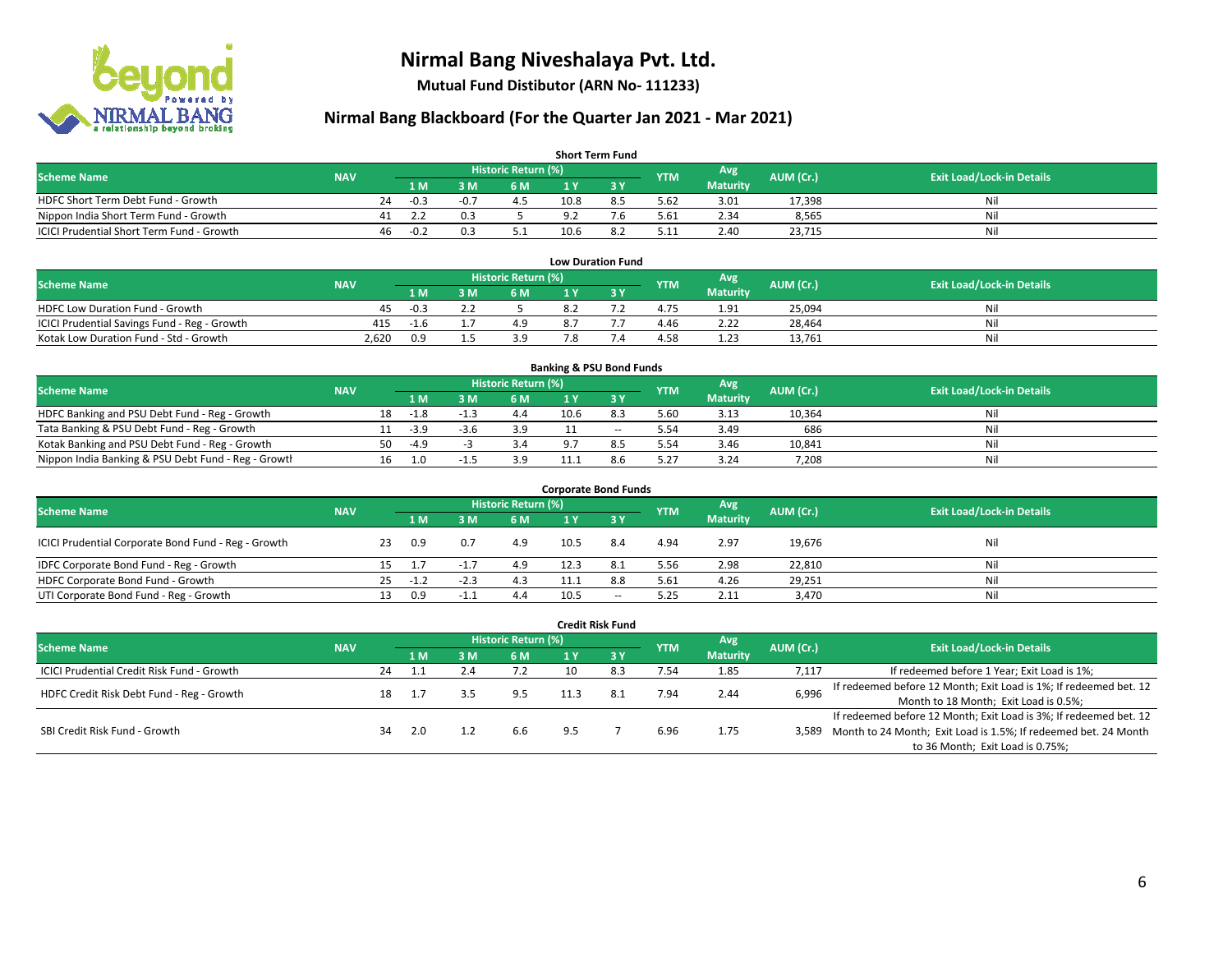

**Mutual Fund Distibutor (ARN No- 111233)**

| <b>Short Term Fund</b>                           |            |    |        |      |                     |      |     |            |                 |           |                                  |  |  |  |
|--------------------------------------------------|------------|----|--------|------|---------------------|------|-----|------------|-----------------|-----------|----------------------------------|--|--|--|
| <b>Scheme Name</b>                               | <b>NAV</b> |    |        |      | Historic Return (%) |      |     | <b>YTM</b> | Avg \           | AUM (Cr.) | <b>Exit Load/Lock-in Details</b> |  |  |  |
|                                                  |            |    | 1 M    | 8 M  | 6 M                 |      |     |            | <b>Maturity</b> |           |                                  |  |  |  |
| HDFC Short Term Debt Fund - Growth               |            | 24 | $-0.3$ | -0., | 4.5                 | 10.8 |     | 5.62       | 3.01            | 17,398    | Nil                              |  |  |  |
| Nippon India Short Term Fund - Growth            |            |    |        |      |                     | 0.2  | 7.b | 5.61       | 2.34            | 8,565     | Nil                              |  |  |  |
| <b>ICICI Prudential Short Term Fund - Growth</b> |            | 46 | $-0.2$ |      |                     | 10.6 | ∡.8 | 5.11       | 2.40            | 23.715    | Nil                              |  |  |  |

| <b>Low Duration Fund</b>                     |            |        |  |                     |     |  |            |                 |           |                                  |  |  |  |
|----------------------------------------------|------------|--------|--|---------------------|-----|--|------------|-----------------|-----------|----------------------------------|--|--|--|
| <b>Scheme Name</b>                           | <b>NAV</b> |        |  | Historic Return (%) |     |  | <b>YTM</b> | Avg             | AUM (Cr.) | <b>Exit Load/Lock-in Details</b> |  |  |  |
|                                              |            | 1 M    |  | 6 M                 |     |  |            | <b>Maturity</b> |           |                                  |  |  |  |
| <b>HDFC Low Duration Fund - Growth</b>       | 45         | $-0.3$ |  |                     | 8.2 |  | 4.75       | 1.91            | 25,094    | Nil                              |  |  |  |
| ICICI Prudential Savings Fund - Reg - Growth | 415        | $-1h$  |  | 4.9                 | 8.7 |  | 4.46       | 2.22            | 28,464    | Nil                              |  |  |  |
| Kotak Low Duration Fund - Std - Growth       | 2,620      | 0.9    |  | 3.9                 | 7.8 |  | 4.58       | 1.23            | 13.761    | Nil                              |  |  |  |

| <b>Banking &amp; PSU Bond Funds</b>                 |            |    |        |      |                     |      |        |            |                 |           |                                  |  |  |
|-----------------------------------------------------|------------|----|--------|------|---------------------|------|--------|------------|-----------------|-----------|----------------------------------|--|--|
| <b>Scheme Name</b>                                  | <b>NAV</b> |    |        |      | Historic Return (%) |      |        | <b>YTM</b> | Avg             | AUM (Cr.) | <b>Exit Load/Lock-in Details</b> |  |  |
|                                                     |            |    | 1 M    | . M  | <b>6M</b>           |      |        |            | <b>Maturity</b> |           |                                  |  |  |
| HDFC Banking and PSU Debt Fund - Reg - Growth       |            | 18 | -1.8   |      | 4.4                 | 10.6 | 8.3    | 5.60       | 3.13            | 10,364    | Nil                              |  |  |
| Tata Banking & PSU Debt Fund - Reg - Growth         |            |    | -3.9   | -3.0 | 3.9                 |      | $\sim$ | 5.54       | 3.49            | 686       | Nil                              |  |  |
| Kotak Banking and PSU Debt Fund - Reg - Growth      |            | 50 | $-4.9$ |      | 3.4                 |      | õ. J   | 5.54       | 3.46            | 10.841    | Nil                              |  |  |
| Nippon India Banking & PSU Debt Fund - Reg - Growth |            | 16 |        |      | 3.9                 |      | 8.6    | 5.27       | 3.24            | 7,208     | Nil                              |  |  |

| <b>Corporate Bond Funds</b>                         |            |    |        |        |                                  |      |        |            |                 |           |                                  |  |  |
|-----------------------------------------------------|------------|----|--------|--------|----------------------------------|------|--------|------------|-----------------|-----------|----------------------------------|--|--|
| <b>Scheme Name</b>                                  | <b>NAV</b> |    |        |        | Historic Return (%) <sup> </sup> |      |        | <b>YTM</b> | Avg             | AUM (Cr.) | <b>Exit Load/Lock-in Details</b> |  |  |
|                                                     |            |    | 1 M    | : M    | 6 M                              | 1 Y  |        |            | <b>Maturity</b> |           |                                  |  |  |
| ICICI Prudential Corporate Bond Fund - Reg - Growth |            | 23 | 0.9    | 0.7    | 4.9                              | 10.5 | 8.4    | 4.94       | 2.97            | 19,676    | Nil                              |  |  |
| IDFC Corporate Bond Fund - Reg - Growth             |            |    |        |        | 4.9                              | 12.3 | -8.1   | 5.56       | 2.98            | 22,810    | Nil                              |  |  |
| HDFC Corporate Bond Fund - Growth                   |            | 25 | $-1.2$ | $-2.3$ | 4.3                              |      | 8.8    | 5.61       | 4.26            | 29,251    | Nil                              |  |  |
| UTI Corporate Bond Fund - Reg - Growth              |            | 13 | 0.9    | -1.2   | 4.4                              | 10.5 | $\sim$ | 5.25       | 2.11            | 3,470     | Nil                              |  |  |

|                                            |            |    |     |     |                            |      | <b>Credit Risk Fund</b> |            |                        |           |                                                                       |
|--------------------------------------------|------------|----|-----|-----|----------------------------|------|-------------------------|------------|------------------------|-----------|-----------------------------------------------------------------------|
| <b>Scheme Name</b>                         | <b>NAV</b> |    |     |     | <b>Historic Return (%)</b> |      |                         | <b>YTM</b> | Avg<br><b>Maturity</b> | AUM (Cr.) | <b>Exit Load/Lock-in Details</b>                                      |
|                                            |            |    | 1 M | : M | 6 M                        | 1 Y  | $\overline{3}$ Y        |            |                        |           |                                                                       |
| ICICI Prudential Credit Risk Fund - Growth |            | 24 |     | 2.4 | 7.2                        | 10   | 8.3                     | 7.54       | 1.85                   | 7,117     | If redeemed before 1 Year; Exit Load is 1%;                           |
| HDFC Credit Risk Debt Fund - Reg - Growth  |            | 18 |     |     | 9.5                        | 11.3 | -8.1                    | 7.94       | 2.44                   | 6,996     | If redeemed before 12 Month; Exit Load is 1%; If redeemed bet. 12     |
|                                            |            |    |     |     |                            |      |                         |            |                        |           | Month to 18 Month; Exit Load is 0.5%;                                 |
|                                            |            |    |     |     |                            |      |                         |            |                        |           | If redeemed before 12 Month; Exit Load is 3%; If redeemed bet. 12     |
| SBI Credit Risk Fund - Growth              |            | 34 | 2.0 |     | 6.6                        | 9.5  |                         | 6.96       | 1.75                   |           | 3,589 Month to 24 Month; Exit Load is 1.5%; If redeemed bet. 24 Month |
|                                            |            |    |     |     |                            |      |                         |            |                        |           | to 36 Month; Exit Load is 0.75%;                                      |